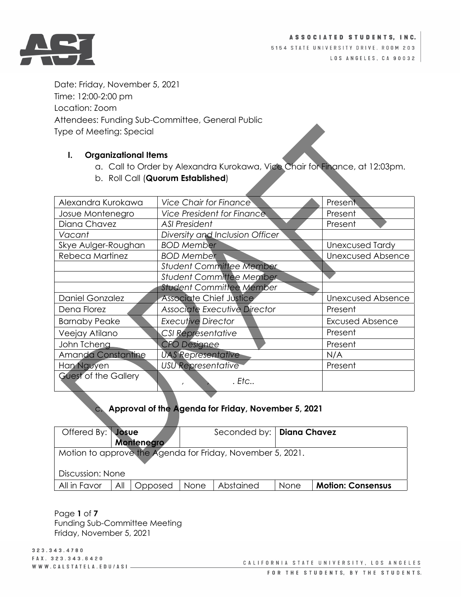

Date: Friday, November 5, 2021 Time: 12:00-2:00 pm Location: Zoom Attendees: Funding Sub-Committee, General Public Type of Meeting: Special

#### **I. Organizational Items**

- a. Call to Order by Alexandra Kurokawa, Vice Chair for Finance, at 12:03pm.
- b. Roll Call (**Quorum Established**)

| Alexandra Kurokawa        | <b>Vice Chair for Finance</b>     | Present                  |
|---------------------------|-----------------------------------|--------------------------|
| Josue Montenegro          | <b>Vice President for Finance</b> | Present                  |
| Diana Chavez              | <b>ASI President</b>              | Present                  |
| Vacant                    | Diversity and Inclusion Officer   |                          |
| Skye Aulger-Roughan       | <b>BOD Member</b>                 | <b>Unexcused Tardy</b>   |
| Rebeca Martinez           | <b>BOD Member</b>                 | <b>Unexcused Absence</b> |
|                           | <b>Student Committee Member</b>   |                          |
|                           | <b>Student Committee Member</b>   |                          |
|                           | <b>Student Committee Member</b>   |                          |
| <b>Daniel Gonzalez</b>    | <b>Associate Chief Justice</b>    | <b>Unexcused Absence</b> |
| Dena Florez               | Associate Executive Director      | Present                  |
| <b>Barnaby Peake</b>      | <b>Executive Director</b>         | <b>Excused Absence</b>   |
| Veejay Atilano            | CSI Representative                | Present                  |
| John Tcheng               | <b>CFO Designee</b>               | Present                  |
| <b>Amanda Constantine</b> | <b>UAS Representative</b>         | N/A                      |
| Han Nguyen                | <b>USU Representative</b>         | Present                  |
| Guest of the Gallery      | . Etc                             |                          |

# c. **Approval of the Agenda for Friday, November 5, 2021**

| Offered By: Josue                                          |     | Montenegro |      | Seconded by:   Diana Chavez |      |                          |
|------------------------------------------------------------|-----|------------|------|-----------------------------|------|--------------------------|
| Motion to approve the Agenda for Friday, November 5, 2021. |     |            |      |                             |      |                          |
| Discussion: None                                           |     |            |      |                             |      |                          |
| All in Favor                                               | All | Opposed    | None | Abstained                   | None | <b>Motion: Consensus</b> |

Page **1** of **7** Funding Sub-Committee Meeting Friday, November 5, 2021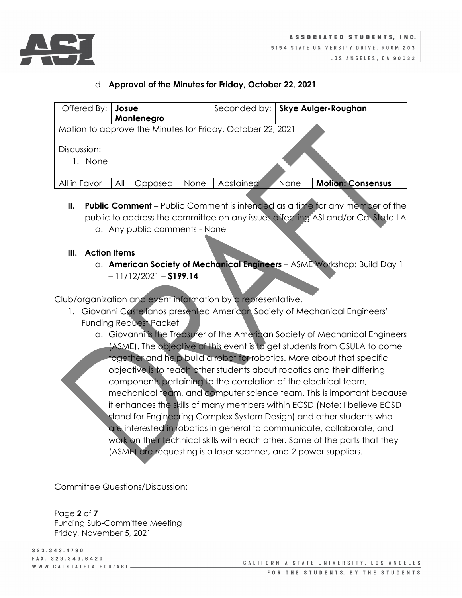

#### d. **Approval of the Minutes for Friday, October 22, 2021**

| Offered By:                                                | Josue |            |      | Seconded by:   Skye Aulger-Roughan |      |                          |
|------------------------------------------------------------|-------|------------|------|------------------------------------|------|--------------------------|
|                                                            |       | Montenegro |      |                                    |      |                          |
| Motion to approve the Minutes for Friday, October 22, 2021 |       |            |      |                                    |      |                          |
| Discussion:<br>None                                        |       |            |      |                                    |      |                          |
| All in Favor                                               | All   | Opposed    | None | Abstained                          | None | <b>Motion: Consensus</b> |

**II. Public Comment** – Public Comment is intended as a time for any member of the public to address the committee on any issues affecting ASI and/or Cal State LA a. Any public comments - None

#### **III. Action Items**

a. **American Society of Mechanical Engineers** – ASME Workshop: Build Day 1 – 11/12/2021 – **\$199.14**

Club/organization and event information by a representative.

- 1. Giovanni Castellanos presented American Society of Mechanical Engineers' Funding Request Packet
	- a. Giovanni is the Treasurer of the American Society of Mechanical Engineers (ASME). The objective of this event is to get students from CSULA to come together and help build a robot for robotics. More about that specific objective is to teach other students about robotics and their differing components pertaining to the correlation of the electrical team, mechanical team, and computer science team. This is important because it enhances the skills of many members within ECSD (Note: I believe ECSD stand for Engineering Complex System Design) and other students who are interested in robotics in general to communicate, collaborate, and work on their technical skills with each other. Some of the parts that they (ASME) are requesting is a laser scanner, and 2 power suppliers.

Committee Questions/Discussion:

Page **2** of **7** Funding Sub-Committee Meeting Friday, November 5, 2021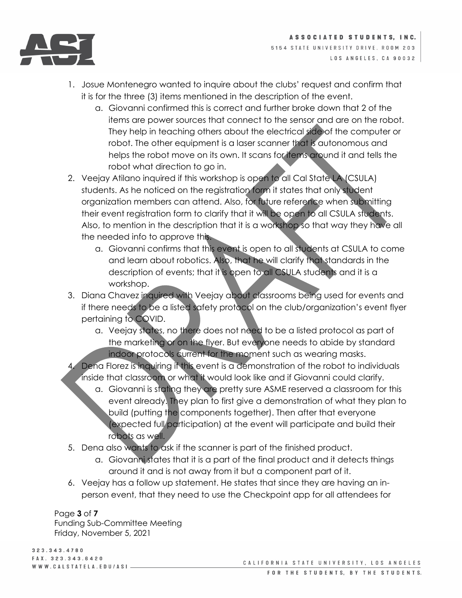

- 1. Josue Montenegro wanted to inquire about the clubs' request and confirm that it is for the three (3) items mentioned in the description of the event.
	- a. Giovanni confirmed this is correct and further broke down that 2 of the items are power sources that connect to the sensor and are on the robot. They help in teaching others about the electrical side of the computer or robot. The other equipment is a laser scanner that is autonomous and helps the robot move on its own. It scans for items around it and tells the robot what direction to go in.
- 2. Veejay Atilano inquired if this workshop is open to all Cal State LA (CSULA) students. As he noticed on the registration form it states that only student organization members can attend. Also, for future reference when submitting their event registration form to clarify that it will be open to all CSULA students. Also, to mention in the description that it is a workshop so that way they have all the needed info to approve this.
	- a. Giovanni confirms that this event is open to all students at CSULA to come and learn about robotics. Also, that he will clarify that standards in the description of events; that it is open to all CSULA students and it is a workshop.
- 3. Diana Chavez inquired with Veejay about classrooms being used for events and if there needs to be a listed safety protocol on the club/organization's event flyer pertaining to COVID.
	- a. Veejay states, no there does not need to be a listed protocol as part of the marketing or on the flyer. But everyone needs to abide by standard indoor protocols current for the moment such as wearing masks.
- 4. Dena Florez is inquiring if this event is a demonstration of the robot to individuals inside that classroom or what it would look like and if Giovanni could clarify.
	- a. Giovanni is stating they are pretty sure ASME reserved a classroom for this event already. They plan to first give a demonstration of what they plan to build (putting the components together). Then after that everyone (expected full participation) at the event will participate and build their robots as well.
- 5. Dena also wants to ask if the scanner is part of the finished product.
	- a. Giovanni states that it is a part of the final product and it detects things around it and is not away from it but a component part of it.
- 6. Veejay has a follow up statement. He states that since they are having an inperson event, that they need to use the Checkpoint app for all attendees for

Page **3** of **7**

Funding Sub-Committee Meeting Friday, November 5, 2021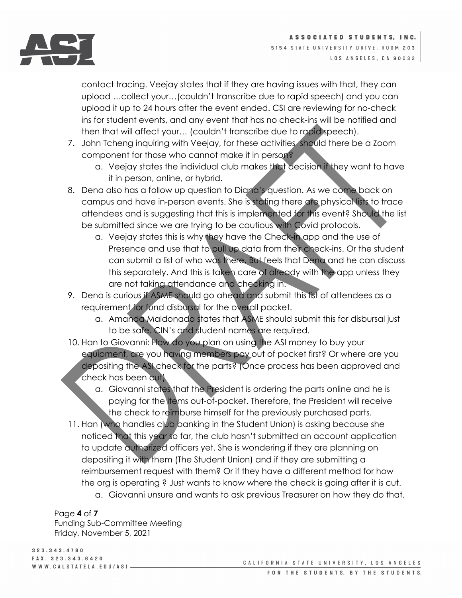

contact tracing. Veejay states that if they are having issues with that, they can upload …collect your…(couldn't transcribe due to rapid speech) and you can upload it up to 24 hours after the event ended. CSI are reviewing for no-check ins for student events, and any event that has no check-ins will be notified and then that will affect your… (couldn't transcribe due to rapid speech).

- 7. John Tcheng inquiring with Veejay, for these activities should there be a Zoom component for those who cannot make it in person?
	- a. Veejay states the individual club makes that decision if they want to have it in person, online, or hybrid.
- 8. Dena also has a follow up question to Diana's question. As we come back on campus and have in-person events. She is stating there are physical lists to trace attendees and is suggesting that this is implemented for this event? Should the list be submitted since we are trying to be cautious with Covid protocols.
	- a. Veejay states this is why they have the Check-in app and the use of Presence and use that to pull up data from their check-ins. Or the student can submit a list of who was there. But feels that Dena and he can discuss this separately. And this is taken care of already with the app unless they are not taking attendance and checking in.
- 9. Dena is curious if ASME should go ahead and submit this list of attendees as a requirement for fund disbursal for the overall packet.
	- a. Amanda Maldonado states that ASME should submit this for disbursal just to be safe. CIN's and student names are required.
- 10. Han to Giovanni: How do you plan on using the ASI money to buy your equipment, are you having members pay out of pocket first? Or where are you depositing the ASI check for the parts? (Once process has been approved and check has been cut)
	- a. Giovanni states that the President is ordering the parts online and he is paying for the items out-of-pocket. Therefore, the President will receive the check to reimburse himself for the previously purchased parts.
- 11. Han (who handles club banking in the Student Union) is asking because she noticed that this year so far, the club hasn't submitted an account application to update authorized officers yet. She is wondering if they are planning on depositing it with them (The Student Union) and if they are submitting a reimbursement request with them? Or if they have a different method for how the org is operating ? Just wants to know where the check is going after it is cut.
	- a. Giovanni unsure and wants to ask previous Treasurer on how they do that.

Page **4** of **7** Funding Sub-Committee Meeting Friday, November 5, 2021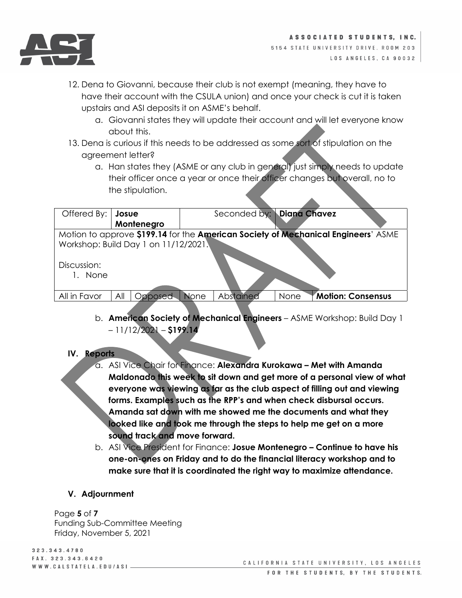

- 12. Dena to Giovanni, because their club is not exempt (meaning, they have to have their account with the CSULA union) and once your check is cut it is taken upstairs and ASI deposits it on ASME's behalf.
	- a. Giovanni states they will update their account and will let everyone know about this.
- 13. Dena is curious if this needs to be addressed as some sort of stipulation on the agreement letter?
	- a. Han states they (ASME or any club in general) just simply needs to update their officer once a year or once their officer changes but overall, no to the stipulation.

| Offered By:                                                                       | Josue          |             |           | Seconded by: Diana Chavez |                   |  |
|-----------------------------------------------------------------------------------|----------------|-------------|-----------|---------------------------|-------------------|--|
|                                                                                   | Montenegro     |             |           |                           |                   |  |
| Motion to approve \$199.14 for the American Society of Mechanical Engineers' ASME |                |             |           |                           |                   |  |
| Workshop: Build Day 1 on 11/12/2021.                                              |                |             |           |                           |                   |  |
| Discussion:<br>1. None                                                            |                |             |           |                           |                   |  |
| All in Favor                                                                      | All<br>Opposed | <b>None</b> | Abstained | None                      | Motion: Consensus |  |
|                                                                                   |                |             |           |                           |                   |  |

b. **American Society of Mechanical Engineers** – ASME Workshop: Build Day 1 – 11/12/2021 – **\$199.14**

### **IV. Reports**

- a. ASI Vice Chair for Finance: **Alexandra Kurokawa – Met with Amanda Maldonado this week to sit down and get more of a personal view of what everyone was viewing as far as the club aspect of filling out and viewing forms. Examples such as the RPP's and when check disbursal occurs. Amanda sat down with me showed me the documents and what they looked like and took me through the steps to help me get on a more sound track and move forward.**
- b. ASI Vice President for Finance: **Josue Montenegro – Continue to have his one-on-ones on Friday and to do the financial literacy workshop and to make sure that it is coordinated the right way to maximize attendance.**

### **V. Adjournment**

Page **5** of **7** Funding Sub-Committee Meeting Friday, November 5, 2021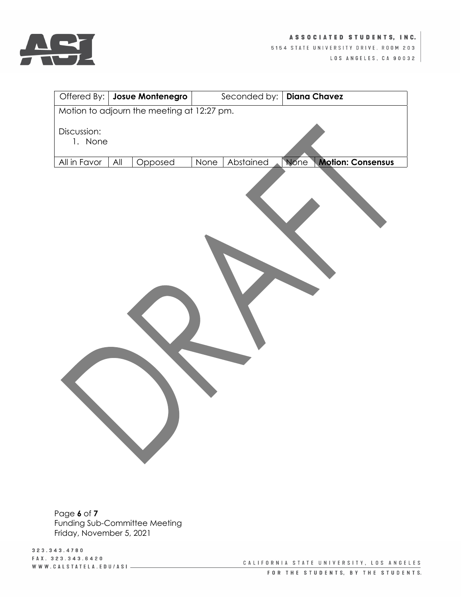

|                                            | Offered By:   Josue Montenegro |                   | Seconded by:   Diana Chavez             |  |  |  |
|--------------------------------------------|--------------------------------|-------------------|-----------------------------------------|--|--|--|
| Motion to adjourn the meeting at 12:27 pm. |                                |                   |                                         |  |  |  |
| Discussion:<br>1. None                     |                                |                   |                                         |  |  |  |
| All in Favor                               | $\mathsf{All}$<br>Opposed      | Abstained<br>None | <b>None</b><br><b>Motion: Consensus</b> |  |  |  |
|                                            |                                |                   |                                         |  |  |  |

Page **6** of **7** Funding Sub-Committee Meeting Friday, November 5, 2021

3 2 3 . 3 4 3 . 4 7 8 0 FAX. 323.343.6420 WWW.CALSTATELA.EDU/ASI-